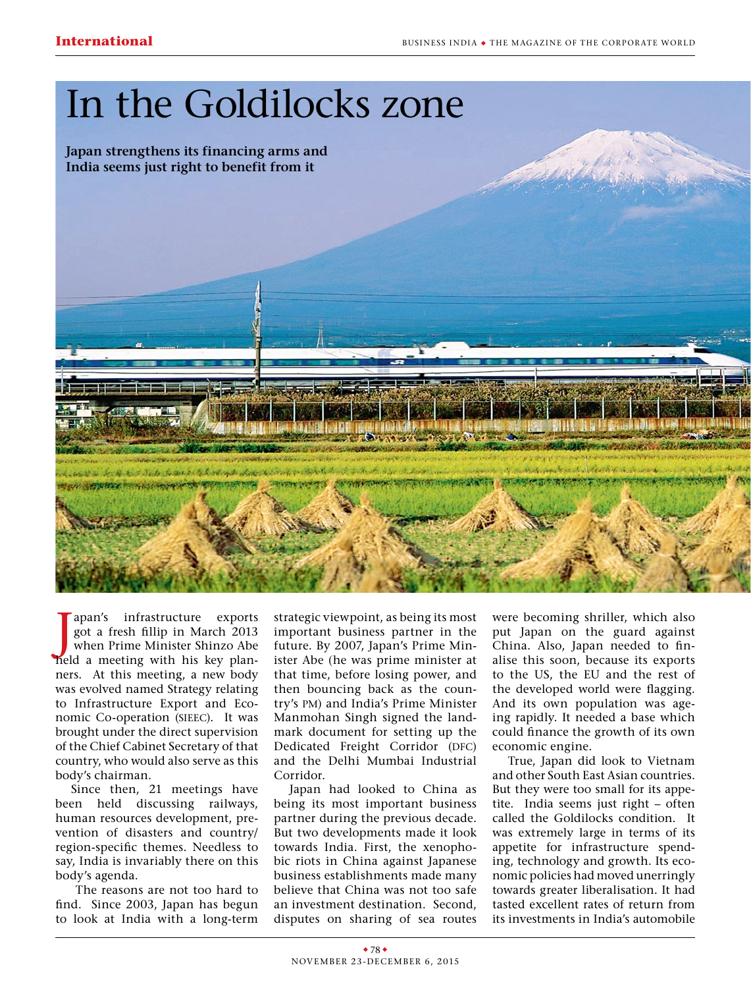## In the Goldilocks zone

**Japan strengthens its financing arms and India seems just right to benefit from it**



Japan's infrastructure exports<br>got a fresh fillip in March 2013<br>when Prime Minister Shinzo Abe<br>held a meeting with his key planapan's infrastructure exports got a fresh fillip in March 2013 when Prime Minister Shinzo Abe ners. At this meeting, a new body was evolved named Strategy relating to Infrastructure Export and Economic Co-operation (SIEEC). It was brought under the direct supervision of the Chief Cabinet Secretary of that country, who would also serve as this body's chairman.

Since then, 21 meetings have been held discussing railways, human resources development, prevention of disasters and country/ region-specific themes. Needless to say, India is invariably there on this body's agenda.

The reasons are not too hard to find. Since 2003, Japan has begun to look at India with a long-term

strategic viewpoint, as being its most important business partner in the future. By 2007, Japan's Prime Minister Abe (he was prime minister at that time, before losing power, and then bouncing back as the country's pm) and India's Prime Minister Manmohan Singh signed the landmark document for setting up the Dedicated Freight Corridor (DFC) and the Delhi Mumbai Industrial Corridor.

Japan had looked to China as being its most important business partner during the previous decade. But two developments made it look towards India. First, the xenophobic riots in China against Japanese business establishments made many believe that China was not too safe an investment destination. Second, disputes on sharing of sea routes

were becoming shriller, which also put Japan on the guard against China. Also, Japan needed to finalise this soon, because its exports to the US, the EU and the rest of the developed world were flagging. And its own population was ageing rapidly. It needed a base which could finance the growth of its own economic engine.

True, Japan did look to Vietnam and other South East Asian countries. But they were too small for its appetite. India seems just right – often called the Goldilocks condition. It was extremely large in terms of its appetite for infrastructure spending, technology and growth. Its economic policies had moved unerringly towards greater liberalisation. It had tasted excellent rates of return from its investments in India's automobile